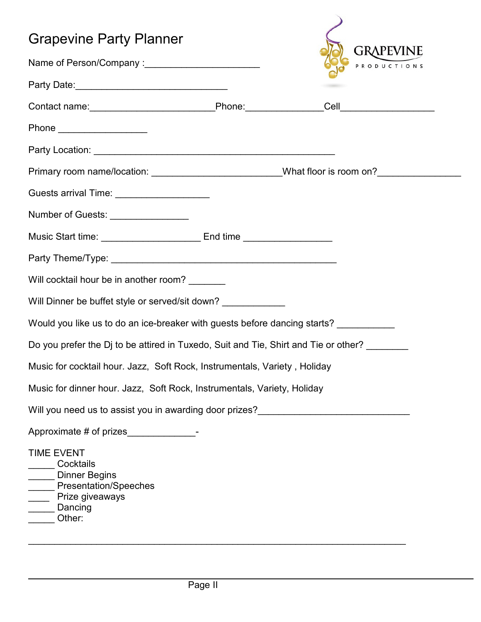| <b>Grapevine Party Planner</b>                                                                                   |  |           |
|------------------------------------------------------------------------------------------------------------------|--|-----------|
|                                                                                                                  |  | GRAPEVINE |
|                                                                                                                  |  |           |
|                                                                                                                  |  |           |
|                                                                                                                  |  |           |
|                                                                                                                  |  |           |
| Primary room name/location: ____________________________What floor is room on?______________________             |  |           |
| Guests arrival Time: _____________________                                                                       |  |           |
| Number of Guests: ________________                                                                               |  |           |
|                                                                                                                  |  |           |
|                                                                                                                  |  |           |
| Will cocktail hour be in another room? _______                                                                   |  |           |
| Will Dinner be buffet style or served/sit down?                                                                  |  |           |
| Would you like us to do an ice-breaker with guests before dancing starts? __________                             |  |           |
| Do you prefer the Dj to be attired in Tuxedo, Suit and Tie, Shirt and Tie or other?                              |  |           |
| Music for cocktail hour. Jazz, Soft Rock, Instrumentals, Variety, Holiday                                        |  |           |
| Music for dinner hour. Jazz, Soft Rock, Instrumentals, Variety, Holiday                                          |  |           |
| Will you need us to assist you in awarding door prizes?<br><u>Universely</u>                                     |  |           |
|                                                                                                                  |  |           |
| <b>TIME EVENT</b><br>Cocktails<br>Dinner Begins<br>Presentation/Speeches<br>Prize giveaways<br>Dancing<br>Other: |  |           |